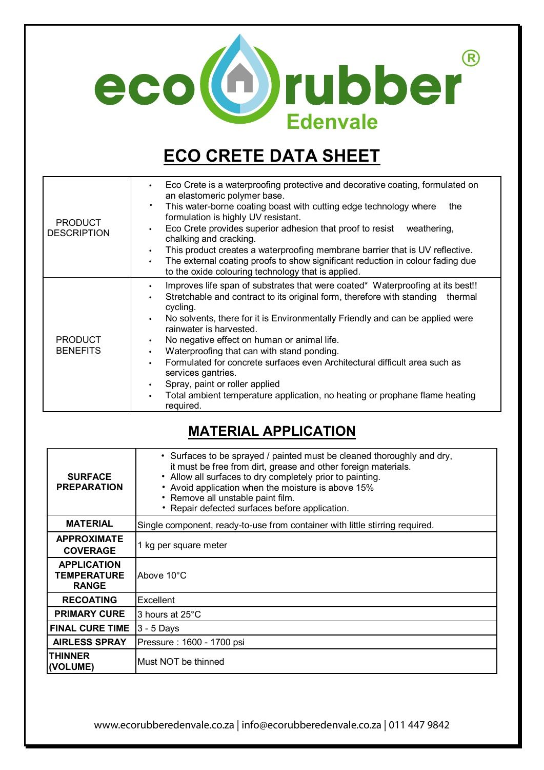

# **ECO CRETE DATA SHEET**

| <b>PRODUCT</b><br><b>DESCRIPTION</b> | Eco Crete is a waterproofing protective and decorative coating, formulated on<br>an elastomeric polymer base.<br>This water-borne coating boast with cutting edge technology where<br>the<br>formulation is highly UV resistant.<br>Eco Crete provides superior adhesion that proof to resist<br>weathering,<br>chalking and cracking.<br>This product creates a waterproofing membrane barrier that is UV reflective.<br>The external coating proofs to show significant reduction in colour fading due<br>$\bullet$<br>to the oxide colouring technology that is applied.                                                                                                    |
|--------------------------------------|--------------------------------------------------------------------------------------------------------------------------------------------------------------------------------------------------------------------------------------------------------------------------------------------------------------------------------------------------------------------------------------------------------------------------------------------------------------------------------------------------------------------------------------------------------------------------------------------------------------------------------------------------------------------------------|
| <b>PRODUCT</b><br><b>BENEFITS</b>    | Improves life span of substrates that were coated* Waterproofing at its best!!<br>$\bullet$<br>Stretchable and contract to its original form, therefore with standing<br>thermal<br>$\bullet$<br>cycling.<br>No solvents, there for it is Environmentally Friendly and can be applied were<br>rainwater is harvested.<br>No negative effect on human or animal life.<br>$\bullet$<br>Waterproofing that can with stand ponding.<br>$\bullet$<br>Formulated for concrete surfaces even Architectural difficult area such as<br>services gantries.<br>Spray, paint or roller applied<br>Total ambient temperature application, no heating or prophane flame heating<br>required. |

### **MATERIAL APPLICATION**

| <b>SURFACE</b><br><b>PREPARATION</b>                     | • Surfaces to be sprayed / painted must be cleaned thoroughly and dry,<br>it must be free from dirt, grease and other foreign materials.<br>• Allow all surfaces to dry completely prior to painting.<br>• Avoid application when the moisture is above 15%<br>• Remove all unstable paint film.<br>• Repair defected surfaces before application. |
|----------------------------------------------------------|----------------------------------------------------------------------------------------------------------------------------------------------------------------------------------------------------------------------------------------------------------------------------------------------------------------------------------------------------|
| <b>MATERIAL</b>                                          | Single component, ready-to-use from container with little stirring required.                                                                                                                                                                                                                                                                       |
| <b>APPROXIMATE</b><br><b>COVERAGE</b>                    | 1 kg per square meter                                                                                                                                                                                                                                                                                                                              |
| <b>APPLICATION</b><br><b>TEMPERATURE</b><br><b>RANGE</b> | Above 10°C                                                                                                                                                                                                                                                                                                                                         |
| <b>RECOATING</b>                                         | Excellent                                                                                                                                                                                                                                                                                                                                          |
| <b>PRIMARY CURE</b>                                      | 3 hours at 25°C                                                                                                                                                                                                                                                                                                                                    |
| <b>FINAL CURE TIME</b>                                   | $3 - 5$ Days                                                                                                                                                                                                                                                                                                                                       |
| <b>AIRLESS SPRAY</b>                                     | Pressure: 1600 - 1700 psi                                                                                                                                                                                                                                                                                                                          |
| <b>THINNER</b><br>(VOLUME)                               | Must NOT be thinned                                                                                                                                                                                                                                                                                                                                |

www.ecorubberedenvale.co.za | info@ecorubberedenvale.co.za | 011 447 9842